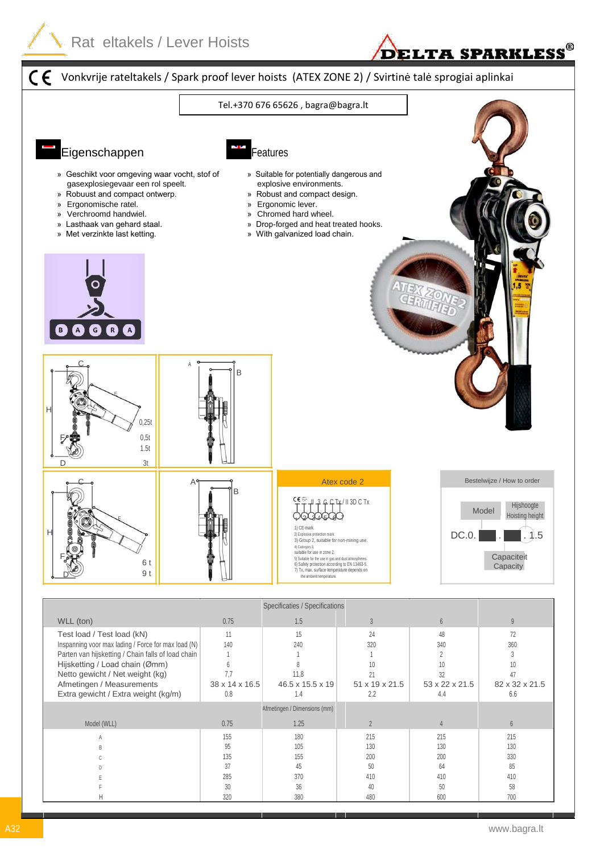



| Netto gewicht / Net weight (kg)<br>Afmetingen / Measurements<br>Extra gewicht / Extra weight (kg/m) | $38 \times 14 \times 16.5$<br>0.8 | 11.8<br>$46.5 \times 15.5 \times 19$<br>1.4 | 51 x 19 x 21.5<br>2.2 | 53 x 22 x 21.5<br>4.4 | 82 x 32 x 21.5<br>6.6 |  |
|-----------------------------------------------------------------------------------------------------|-----------------------------------|---------------------------------------------|-----------------------|-----------------------|-----------------------|--|
| Afmetingen / Dimensions (mm)                                                                        |                                   |                                             |                       |                       |                       |  |
| Model (WLL)                                                                                         | 0.75                              | 1.25                                        |                       |                       | 6                     |  |
|                                                                                                     | 155                               | 180                                         | 215                   | 215                   | 215                   |  |
|                                                                                                     | 95                                | 105                                         | 130                   | 130                   | 130                   |  |
|                                                                                                     | 135                               | 155                                         | 200                   | 200                   | 330                   |  |
|                                                                                                     | 37                                | 45                                          | 50                    | 64                    | 85                    |  |
|                                                                                                     | 285                               | 370                                         | 410                   | 410                   | 410                   |  |
|                                                                                                     | 30                                | 36                                          | 40                    | 50                    | 58                    |  |
|                                                                                                     | 320                               | 380                                         | 480                   | 600                   | 700                   |  |